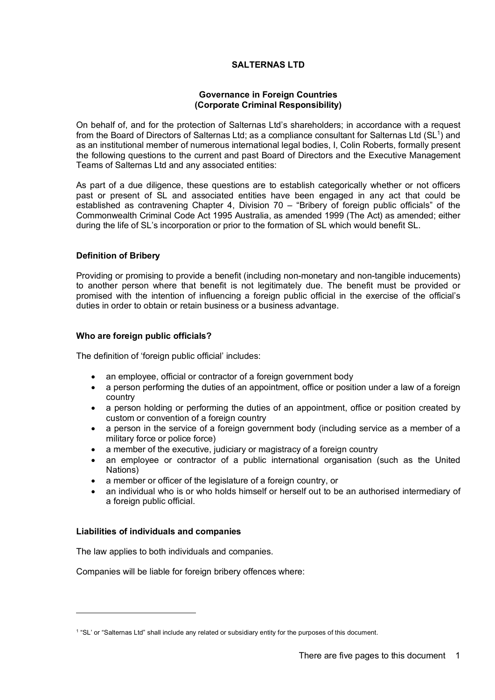# **SALTERNAS LTD**

## **Governance in Foreign Countries (Corporate Criminal Responsibility)**

On behalf of, and for the protection of Salternas Ltd's shareholders; in accordance with a request from the Board of Directors of Salternas Ltd; as a compliance consultant for Salternas Ltd (SL<sup>1</sup>) and as an institutional member of numerous international legal bodies, I, Colin Roberts, formally present the following questions to the current and past Board of Directors and the Executive Management Teams of Salternas Ltd and any associated entities:

As part of a due diligence, these questions are to establish categorically whether or not officers past or present of SL and associated entities have been engaged in any act that could be established as contravening Chapter 4, Division 70 – "Bribery of foreign public officials" of the Commonwealth Criminal Code Act 1995 Australia, as amended 1999 (The Act) as amended; either during the life of SL's incorporation or prior to the formation of SL which would benefit SL.

#### **Definition of Bribery**

Providing or promising to provide a benefit (including non-monetary and non-tangible inducements) to another person where that benefit is not legitimately due. The benefit must be provided or promised with the intention of influencing a foreign public official in the exercise of the official's duties in order to obtain or retain business or a business advantage.

#### **Who are foreign public officials?**

The definition of 'foreign public official' includes:

- an employee, official or contractor of a foreign government body
- a person performing the duties of an appointment, office or position under a law of a foreign country
- a person holding or performing the duties of an appointment, office or position created by custom or convention of a foreign country
- a person in the service of a foreign government body (including service as a member of a military force or police force)
- a member of the executive, judiciary or magistracy of a foreign country
- an employee or contractor of a public international organisation (such as the United Nations)
- a member or officer of the legislature of a foreign country, or
- an individual who is or who holds himself or herself out to be an authorised intermediary of a foreign public official.

#### **Liabilities of individuals and companies**

The law applies to both individuals and companies.

Companies will be liable for foreign bribery offences where:

<sup>1</sup> "SL' or "Salternas Ltd" shall include any related or subsidiary entity for the purposes of this document.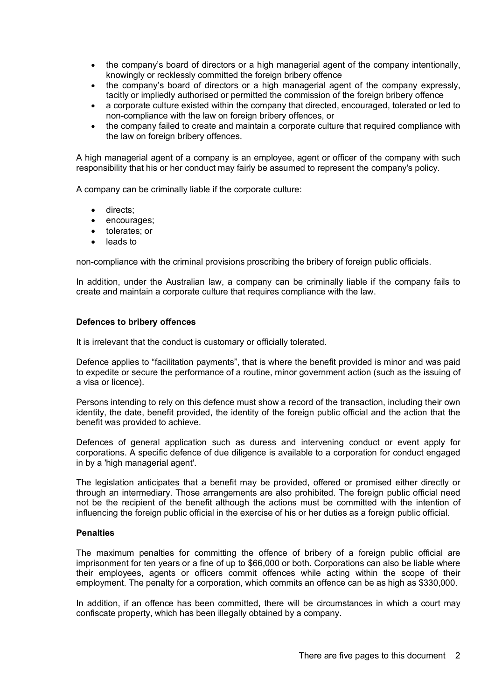- the company's board of directors or a high managerial agent of the company intentionally, knowingly or recklessly committed the foreign bribery offence
- the company's board of directors or a high managerial agent of the company expressly, tacitly or impliedly authorised or permitted the commission of the foreign bribery offence
- a corporate culture existed within the company that directed, encouraged, tolerated or led to non-compliance with the law on foreign bribery offences, or
- the company failed to create and maintain a corporate culture that required compliance with the law on foreign bribery offences.

A high managerial agent of a company is an employee, agent or officer of the company with such responsibility that his or her conduct may fairly be assumed to represent the company's policy.

A company can be criminally liable if the corporate culture:

- directs;
- encourages;
- tolerates; or
- leads to

non-compliance with the criminal provisions proscribing the bribery of foreign public officials.

In addition, under the Australian law, a company can be criminally liable if the company fails to create and maintain a corporate culture that requires compliance with the law.

#### **Defences to bribery offences**

It is irrelevant that the conduct is customary or officially tolerated.

Defence applies to "facilitation payments", that is where the benefit provided is minor and was paid to expedite or secure the performance of a routine, minor government action (such as the issuing of a visa or licence).

Persons intending to rely on this defence must show a record of the transaction, including their own identity, the date, benefit provided, the identity of the foreign public official and the action that the benefit was provided to achieve.

Defences of general application such as duress and intervening conduct or event apply for corporations. A specific defence of due diligence is available to a corporation for conduct engaged in by a 'high managerial agent'.

The legislation anticipates that a benefit may be provided, offered or promised either directly or through an intermediary. Those arrangements are also prohibited. The foreign public official need not be the recipient of the benefit although the actions must be committed with the intention of influencing the foreign public official in the exercise of his or her duties as a foreign public official.

#### **Penalties**

The maximum penalties for committing the offence of bribery of a foreign public official are imprisonment for ten years or a fine of up to \$66,000 or both. Corporations can also be liable where their employees, agents or officers commit offences while acting within the scope of their employment. The penalty for a corporation, which commits an offence can be as high as \$330,000.

In addition, if an offence has been committed, there will be circumstances in which a court may confiscate property, which has been illegally obtained by a company.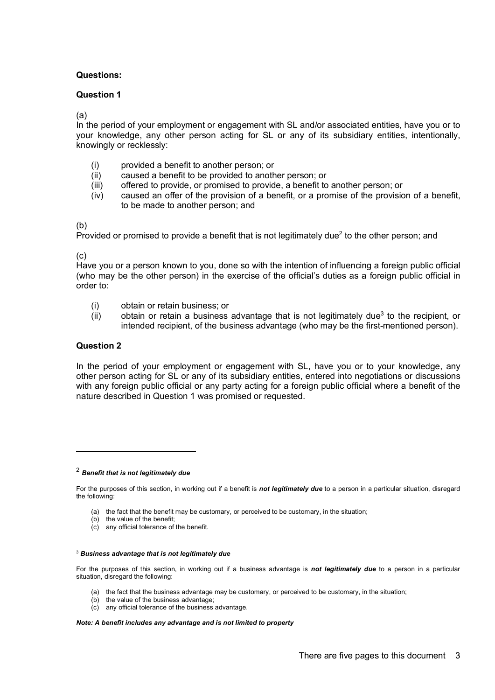## **Questions:**

## **Question 1**

(a)

In the period of your employment or engagement with SL and/or associated entities, have you or to your knowledge, any other person acting for SL or any of its subsidiary entities, intentionally, knowingly or recklessly:

- (i) provided a benefit to another person; or
- (ii) caused a benefit to be provided to another person; or
- (iii) offered to provide, or promised to provide, a benefit to another person; or
- (iv) caused an offer of the provision of a benefit, or a promise of the provision of a benefit, to be made to another person; and

(b)

Provided or promised to provide a benefit that is not legitimately due<sup>2</sup> to the other person: and

(c)

Have you or a person known to you, done so with the intention of influencing a foreign public official (who may be the other person) in the exercise of the official's duties as a foreign public official in order to:

- (i) obtain or retain business; or
- $(iii)$  obtain or retain a business advantage that is not legitimately due<sup>3</sup> to the recipient, or intended recipient, of the business advantage (who may be the first-mentioned person).

## **Question 2**

In the period of your employment or engagement with SL, have you or to your knowledge, any other person acting for SL or any of its subsidiary entities, entered into negotiations or discussions with any foreign public official or any party acting for a foreign public official where a benefit of the nature described in Question 1 was promised or requested.

<sup>2</sup> *Benefit that is not legitimately due*

For the purposes of this section, in working out if a benefit is *not legitimately due* to a person in a particular situation, disregard the following:

- (a) the fact that the benefit may be customary, or perceived to be customary, in the situation;
- (b) the value of the benefit;
- (c) any official tolerance of the benefit.

#### <sup>3</sup> *Business advantage that is not legitimately due*

For the purposes of this section, in working out if a business advantage is *not legitimately due* to a person in a particular situation, disregard the following:

- (a) the fact that the business advantage may be customary, or perceived to be customary, in the situation;
- (b) the value of the business advantage;
- (c) any official tolerance of the business advantage.

*Note: A benefit includes any advantage and is not limited to property*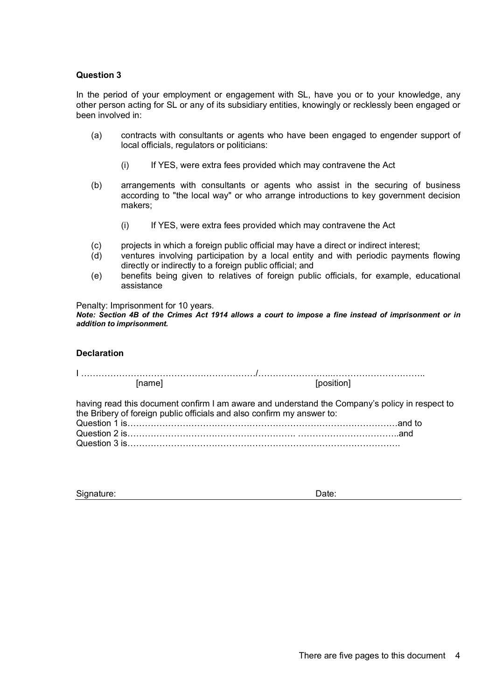## **Question 3**

In the period of your employment or engagement with SL, have you or to your knowledge, any other person acting for SL or any of its subsidiary entities, knowingly or recklessly been engaged or been involved in:

- (a) contracts with consultants or agents who have been engaged to engender support of local officials, regulators or politicians:
	- (i) If YES, were extra fees provided which may contravene the Act
- (b) arrangements with consultants or agents who assist in the securing of business according to "the local way" or who arrange introductions to key government decision makers;
	- (i) If YES, were extra fees provided which may contravene the Act
- (c) projects in which a foreign public official may have a direct or indirect interest;
- (d) ventures involving participation by a local entity and with periodic payments flowing directly or indirectly to a foreign public official; and
- (e) benefits being given to relatives of foreign public officials, for example, educational assistance

Penalty: Imprisonment for 10 years.

*Note: Section 4B of the Crimes Act 1914 allows a court to impose a fine instead of imprisonment or in addition to imprisonment.*

#### **Declaration**

I ……………………………………………………/……………………..………………………….. [name] [position]

having read this document confirm I am aware and understand the Company's policy in respect to the Bribery of foreign public officials and also confirm my answer to: Question 1 is…………………………………………………………………………………and to Question 2 is…………………………………………………. ……………………………..and Question 3 is………………………………………………………………………………….

| Signature: | Date: |
|------------|-------|